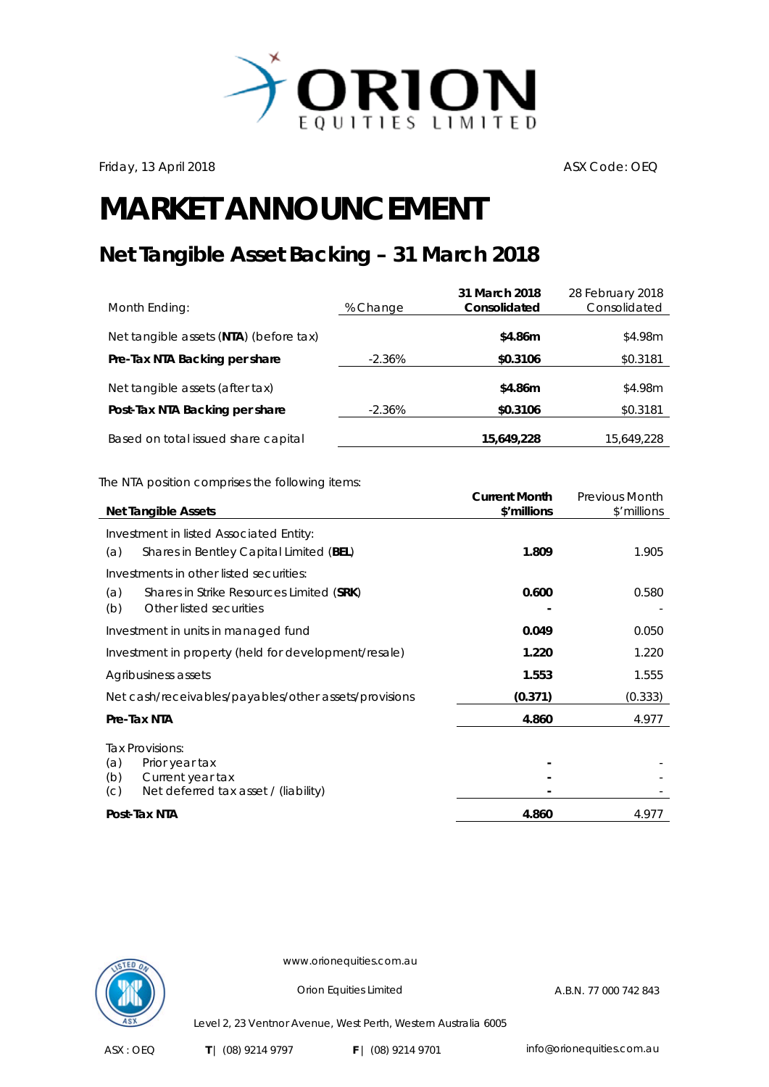

Friday, 13 April 2018 **ASX** Code: OEQ

## **MARKET ANNOUNCEMENT**

## **Net Tangible Asset Backing – 31 March 2018**

| Month Ending:                          | % Change  | 31 March 2018<br>Consolidated | 28 February 2018<br>Consolidated |
|----------------------------------------|-----------|-------------------------------|----------------------------------|
| Net tangible assets (NTA) (before tax) |           | \$4.86m                       | \$4.98m                          |
| Pre-Tax NTA Backing per share          | -2.36%    | \$0.3106                      | \$0.3181                         |
| Net tangible assets (after tax)        |           | \$4.86m                       | \$4.98m                          |
| Post-Tax NTA Backing per share         | $-2.36\%$ | \$0.3106                      | \$0.3181                         |
| Based on total issued share capital    |           | 15,649,228                    | 15,649,228                       |

The NTA position comprises the following items:

|                                                                                           | <b>Current Month</b> | <b>Previous Month</b> |
|-------------------------------------------------------------------------------------------|----------------------|-----------------------|
| <b>Net Tangible Assets</b>                                                                | \$'millions          | \$'millions           |
| Investment in listed Associated Entity:<br>Shares in Bentley Capital Limited (BEL)<br>(a) | 1.809                | 1.905                 |
| Investments in other listed securities:                                                   |                      |                       |
| Shares in Strike Resources Limited (SRK)<br>(a)<br>Other listed securities<br>(b)         | 0.600                | 0.580                 |
| Investment in units in managed fund                                                       | 0.049                | 0.050                 |
| Investment in property (held for development/resale)                                      | 1.220                | 1.220                 |
| Agribusiness assets                                                                       | 1.553                | 1.555                 |
| Net cash/receivables/payables/other assets/provisions                                     | (0.371)              | (0.333)               |
| Pre-Tax NTA                                                                               | 4.860                | 4.977                 |
| Tax Provisions:                                                                           |                      |                       |
| Prior year tax<br>(a)<br>Current year tax<br>(b)                                          |                      |                       |
| Net deferred tax asset / (liability)<br>(C)                                               |                      |                       |
| Post-Tax NTA                                                                              | 4.860                | 4.977                 |



www.orionequities.com.au

Orion Equities Limited A.B.N. 77 000 742 843

Level 2, 23 Ventnor Avenue, West Perth, Western Australia 6005